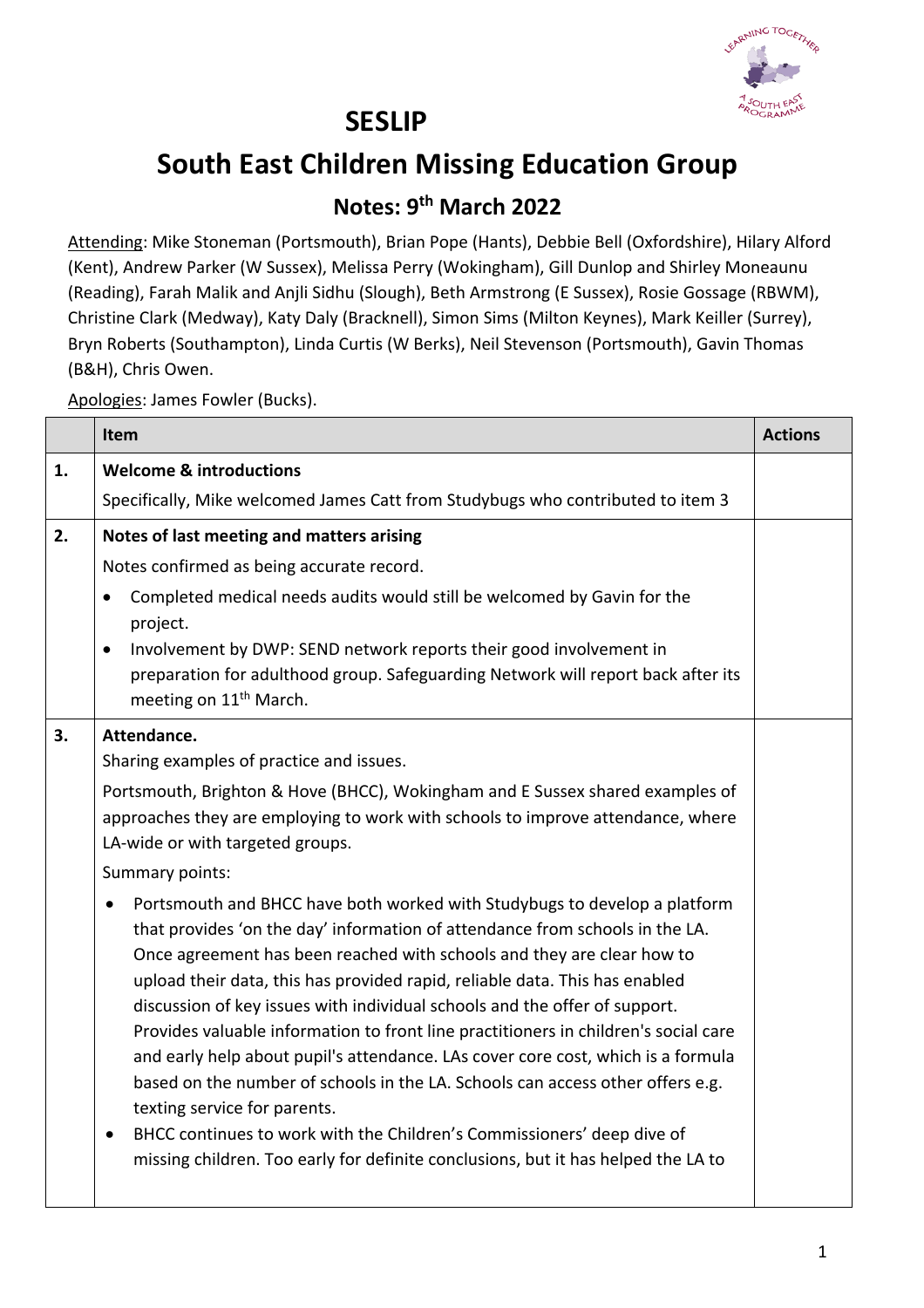

## **SESLIP**

## **South East Children Missing Education Group**

## **Notes: 9th March 2022**

Attending: Mike Stoneman (Portsmouth), Brian Pope (Hants), Debbie Bell (Oxfordshire), Hilary Alford (Kent), Andrew Parker (W Sussex), Melissa Perry (Wokingham), Gill Dunlop and Shirley Moneaunu (Reading), Farah Malik and Anjli Sidhu (Slough), Beth Armstrong (E Sussex), Rosie Gossage (RBWM), Christine Clark (Medway), Katy Daly (Bracknell), Simon Sims (Milton Keynes), Mark Keiller (Surrey), Bryn Roberts (Southampton), Linda Curtis (W Berks), Neil Stevenson (Portsmouth), Gavin Thomas (B&H), Chris Owen.

Apologies: James Fowler (Bucks).

|    | Item                                                                                                                                                                                                                                                                                                                                                                                                                                                                                                                                                                                                                                                                                                                                                                                                                                                         | <b>Actions</b> |
|----|--------------------------------------------------------------------------------------------------------------------------------------------------------------------------------------------------------------------------------------------------------------------------------------------------------------------------------------------------------------------------------------------------------------------------------------------------------------------------------------------------------------------------------------------------------------------------------------------------------------------------------------------------------------------------------------------------------------------------------------------------------------------------------------------------------------------------------------------------------------|----------------|
| 1. | <b>Welcome &amp; introductions</b>                                                                                                                                                                                                                                                                                                                                                                                                                                                                                                                                                                                                                                                                                                                                                                                                                           |                |
|    | Specifically, Mike welcomed James Catt from Studybugs who contributed to item 3                                                                                                                                                                                                                                                                                                                                                                                                                                                                                                                                                                                                                                                                                                                                                                              |                |
| 2. | Notes of last meeting and matters arising                                                                                                                                                                                                                                                                                                                                                                                                                                                                                                                                                                                                                                                                                                                                                                                                                    |                |
|    | Notes confirmed as being accurate record.                                                                                                                                                                                                                                                                                                                                                                                                                                                                                                                                                                                                                                                                                                                                                                                                                    |                |
|    | Completed medical needs audits would still be welcomed by Gavin for the<br>$\bullet$<br>project.                                                                                                                                                                                                                                                                                                                                                                                                                                                                                                                                                                                                                                                                                                                                                             |                |
|    | Involvement by DWP: SEND network reports their good involvement in<br>$\bullet$<br>preparation for adulthood group. Safeguarding Network will report back after its<br>meeting on 11 <sup>th</sup> March.                                                                                                                                                                                                                                                                                                                                                                                                                                                                                                                                                                                                                                                    |                |
| 3. | Attendance.                                                                                                                                                                                                                                                                                                                                                                                                                                                                                                                                                                                                                                                                                                                                                                                                                                                  |                |
|    | Sharing examples of practice and issues.                                                                                                                                                                                                                                                                                                                                                                                                                                                                                                                                                                                                                                                                                                                                                                                                                     |                |
|    | Portsmouth, Brighton & Hove (BHCC), Wokingham and E Sussex shared examples of<br>approaches they are employing to work with schools to improve attendance, where<br>LA-wide or with targeted groups.                                                                                                                                                                                                                                                                                                                                                                                                                                                                                                                                                                                                                                                         |                |
|    | Summary points:                                                                                                                                                                                                                                                                                                                                                                                                                                                                                                                                                                                                                                                                                                                                                                                                                                              |                |
|    | Portsmouth and BHCC have both worked with Studybugs to develop a platform<br>that provides 'on the day' information of attendance from schools in the LA.<br>Once agreement has been reached with schools and they are clear how to<br>upload their data, this has provided rapid, reliable data. This has enabled<br>discussion of key issues with individual schools and the offer of support.<br>Provides valuable information to front line practitioners in children's social care<br>and early help about pupil's attendance. LAs cover core cost, which is a formula<br>based on the number of schools in the LA. Schools can access other offers e.g.<br>texting service for parents.<br>BHCC continues to work with the Children's Commissioners' deep dive of<br>missing children. Too early for definite conclusions, but it has helped the LA to |                |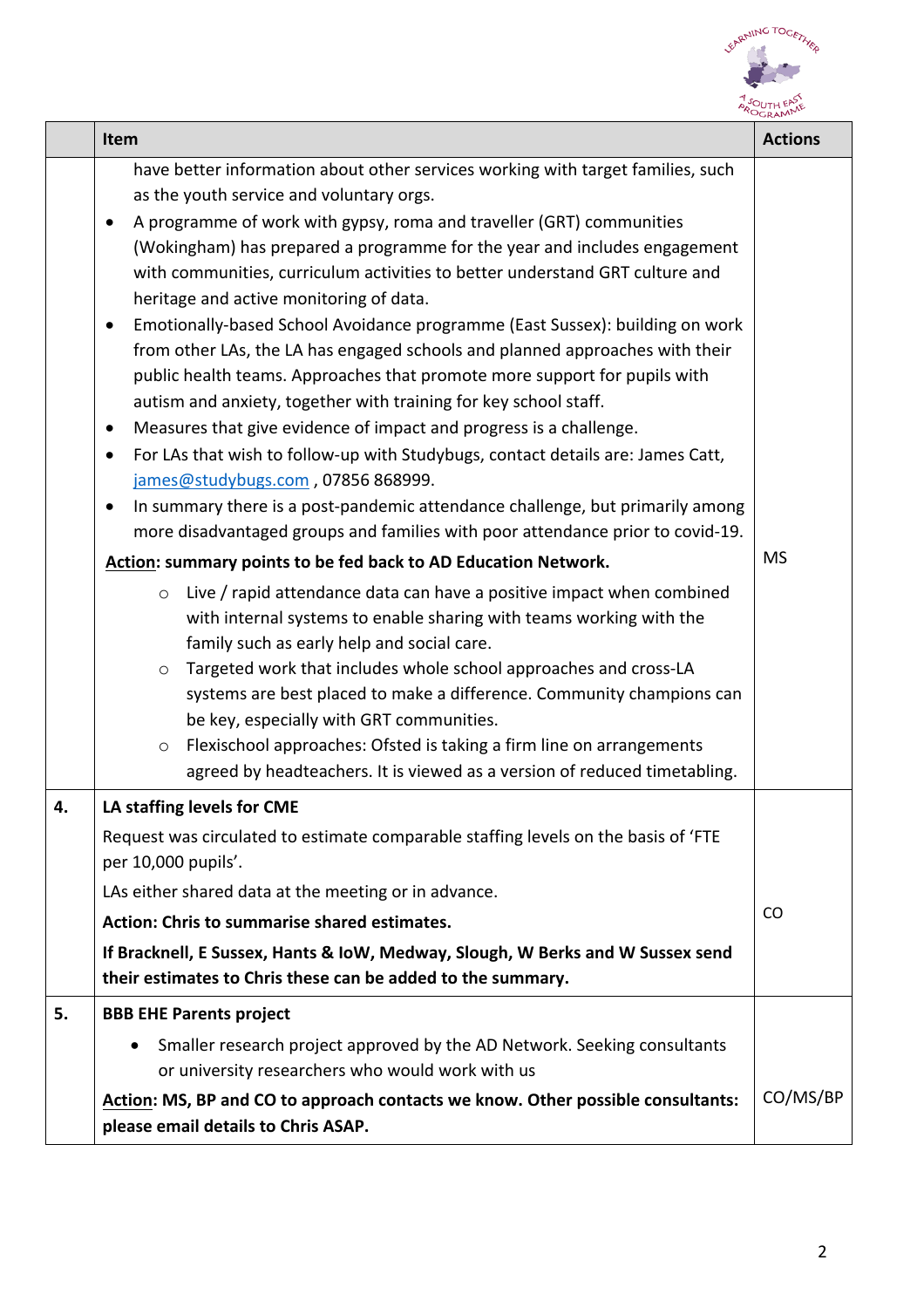

|    | Item                                                                                                                                                                                                                                                                                                                                                                                                                                                                                                                                                                                                                                                                                                                                                                                                                                                                                                                                                                                                                                                                                                                                                                                                                                                                                                                                                                                                                                                                                                                                                                                                                                                                                                                                                                                 | <b>Actions</b> |
|----|--------------------------------------------------------------------------------------------------------------------------------------------------------------------------------------------------------------------------------------------------------------------------------------------------------------------------------------------------------------------------------------------------------------------------------------------------------------------------------------------------------------------------------------------------------------------------------------------------------------------------------------------------------------------------------------------------------------------------------------------------------------------------------------------------------------------------------------------------------------------------------------------------------------------------------------------------------------------------------------------------------------------------------------------------------------------------------------------------------------------------------------------------------------------------------------------------------------------------------------------------------------------------------------------------------------------------------------------------------------------------------------------------------------------------------------------------------------------------------------------------------------------------------------------------------------------------------------------------------------------------------------------------------------------------------------------------------------------------------------------------------------------------------------|----------------|
|    | have better information about other services working with target families, such<br>as the youth service and voluntary orgs.<br>A programme of work with gypsy, roma and traveller (GRT) communities<br>(Wokingham) has prepared a programme for the year and includes engagement<br>with communities, curriculum activities to better understand GRT culture and<br>heritage and active monitoring of data.<br>Emotionally-based School Avoidance programme (East Sussex): building on work<br>from other LAs, the LA has engaged schools and planned approaches with their<br>public health teams. Approaches that promote more support for pupils with<br>autism and anxiety, together with training for key school staff.<br>Measures that give evidence of impact and progress is a challenge.<br>$\bullet$<br>For LAs that wish to follow-up with Studybugs, contact details are: James Catt,<br>$\bullet$<br>james@studybugs.com, 07856 868999.<br>In summary there is a post-pandemic attendance challenge, but primarily among<br>$\bullet$<br>more disadvantaged groups and families with poor attendance prior to covid-19.<br>Action: summary points to be fed back to AD Education Network.<br>Live / rapid attendance data can have a positive impact when combined<br>$\circ$<br>with internal systems to enable sharing with teams working with the<br>family such as early help and social care.<br>Targeted work that includes whole school approaches and cross-LA<br>$\circ$<br>systems are best placed to make a difference. Community champions can<br>be key, especially with GRT communities.<br>Flexischool approaches: Ofsted is taking a firm line on arrangements<br>$\circ$<br>agreed by headteachers. It is viewed as a version of reduced timetabling. | <b>MS</b>      |
| 4. | LA staffing levels for CME<br>Request was circulated to estimate comparable staffing levels on the basis of 'FTE<br>per 10,000 pupils'.<br>LAs either shared data at the meeting or in advance.<br>Action: Chris to summarise shared estimates.<br>If Bracknell, E Sussex, Hants & IoW, Medway, Slough, W Berks and W Sussex send<br>their estimates to Chris these can be added to the summary.                                                                                                                                                                                                                                                                                                                                                                                                                                                                                                                                                                                                                                                                                                                                                                                                                                                                                                                                                                                                                                                                                                                                                                                                                                                                                                                                                                                     | CO             |
| 5. | <b>BBB EHE Parents project</b><br>Smaller research project approved by the AD Network. Seeking consultants<br>or university researchers who would work with us<br>Action: MS, BP and CO to approach contacts we know. Other possible consultants:<br>please email details to Chris ASAP.                                                                                                                                                                                                                                                                                                                                                                                                                                                                                                                                                                                                                                                                                                                                                                                                                                                                                                                                                                                                                                                                                                                                                                                                                                                                                                                                                                                                                                                                                             | CO/MS/BP       |